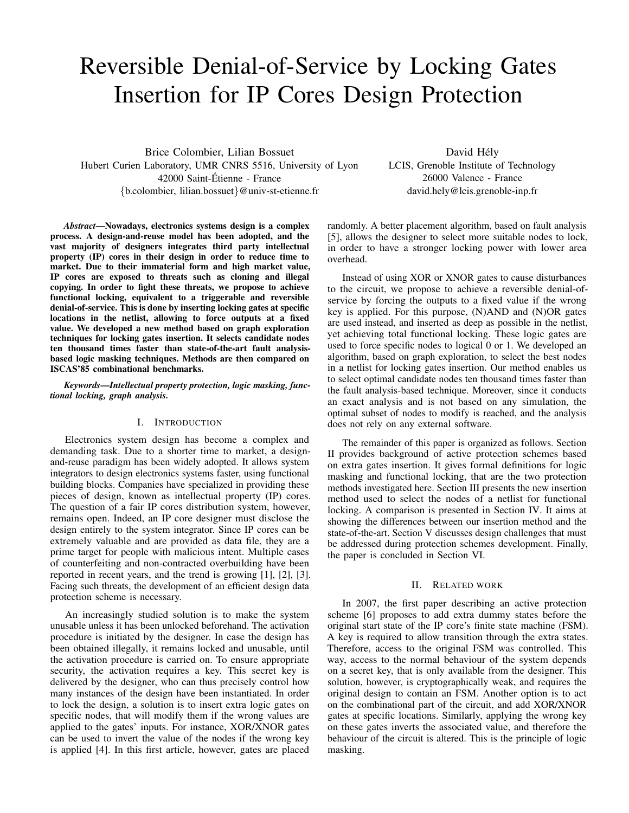# Reversible Denial-of-Service by Locking Gates Insertion for IP Cores Design Protection

Brice Colombier, Lilian Bossuet Hubert Curien Laboratory, UMR CNRS 5516, University of Lyon 42000 Saint-Etienne - France ´ {b.colombier, lilian.bossuet}@univ-st-etienne.fr

*Abstract*—Nowadays, electronics systems design is a complex process. A design-and-reuse model has been adopted, and the vast majority of designers integrates third party intellectual property (IP) cores in their design in order to reduce time to market. Due to their immaterial form and high market value, IP cores are exposed to threats such as cloning and illegal copying. In order to fight these threats, we propose to achieve functional locking, equivalent to a triggerable and reversible denial-of-service. This is done by inserting locking gates at specific locations in the netlist, allowing to force outputs at a fixed value. We developed a new method based on graph exploration techniques for locking gates insertion. It selects candidate nodes ten thousand times faster than state-of-the-art fault analysisbased logic masking techniques. Methods are then compared on ISCAS'85 combinational benchmarks.

*Keywords*—*Intellectual property protection, logic masking, functional locking, graph analysis.*

## I. INTRODUCTION

Electronics system design has become a complex and demanding task. Due to a shorter time to market, a designand-reuse paradigm has been widely adopted. It allows system integrators to design electronics systems faster, using functional building blocks. Companies have specialized in providing these pieces of design, known as intellectual property (IP) cores. The question of a fair IP cores distribution system, however, remains open. Indeed, an IP core designer must disclose the design entirely to the system integrator. Since IP cores can be extremely valuable and are provided as data file, they are a prime target for people with malicious intent. Multiple cases of counterfeiting and non-contracted overbuilding have been reported in recent years, and the trend is growing [1], [2], [3]. Facing such threats, the development of an efficient design data protection scheme is necessary.

An increasingly studied solution is to make the system unusable unless it has been unlocked beforehand. The activation procedure is initiated by the designer. In case the design has been obtained illegally, it remains locked and unusable, until the activation procedure is carried on. To ensure appropriate security, the activation requires a key. This secret key is delivered by the designer, who can thus precisely control how many instances of the design have been instantiated. In order to lock the design, a solution is to insert extra logic gates on specific nodes, that will modify them if the wrong values are applied to the gates' inputs. For instance, XOR/XNOR gates can be used to invert the value of the nodes if the wrong key is applied [4]. In this first article, however, gates are placed

David Hély LCIS, Grenoble Institute of Technology 26000 Valence - France david.hely@lcis.grenoble-inp.fr

randomly. A better placement algorithm, based on fault analysis [5], allows the designer to select more suitable nodes to lock, in order to have a stronger locking power with lower area overhead.

Instead of using XOR or XNOR gates to cause disturbances to the circuit, we propose to achieve a reversible denial-ofservice by forcing the outputs to a fixed value if the wrong key is applied. For this purpose, (N)AND and (N)OR gates are used instead, and inserted as deep as possible in the netlist, yet achieving total functional locking. These logic gates are used to force specific nodes to logical 0 or 1. We developed an algorithm, based on graph exploration, to select the best nodes in a netlist for locking gates insertion. Our method enables us to select optimal candidate nodes ten thousand times faster than the fault analysis-based technique. Moreover, since it conducts an exact analysis and is not based on any simulation, the optimal subset of nodes to modify is reached, and the analysis does not rely on any external software.

The remainder of this paper is organized as follows. Section II provides background of active protection schemes based on extra gates insertion. It gives formal definitions for logic masking and functional locking, that are the two protection methods investigated here. Section III presents the new insertion method used to select the nodes of a netlist for functional locking. A comparison is presented in Section IV. It aims at showing the differences between our insertion method and the state-of-the-art. Section V discusses design challenges that must be addressed during protection schemes development. Finally, the paper is concluded in Section VI.

## II. RELATED WORK

In 2007, the first paper describing an active protection scheme [6] proposes to add extra dummy states before the original start state of the IP core's finite state machine (FSM). A key is required to allow transition through the extra states. Therefore, access to the original FSM was controlled. This way, access to the normal behaviour of the system depends on a secret key, that is only available from the designer. This solution, however, is cryptographically weak, and requires the original design to contain an FSM. Another option is to act on the combinational part of the circuit, and add XOR/XNOR gates at specific locations. Similarly, applying the wrong key on these gates inverts the associated value, and therefore the behaviour of the circuit is altered. This is the principle of logic masking.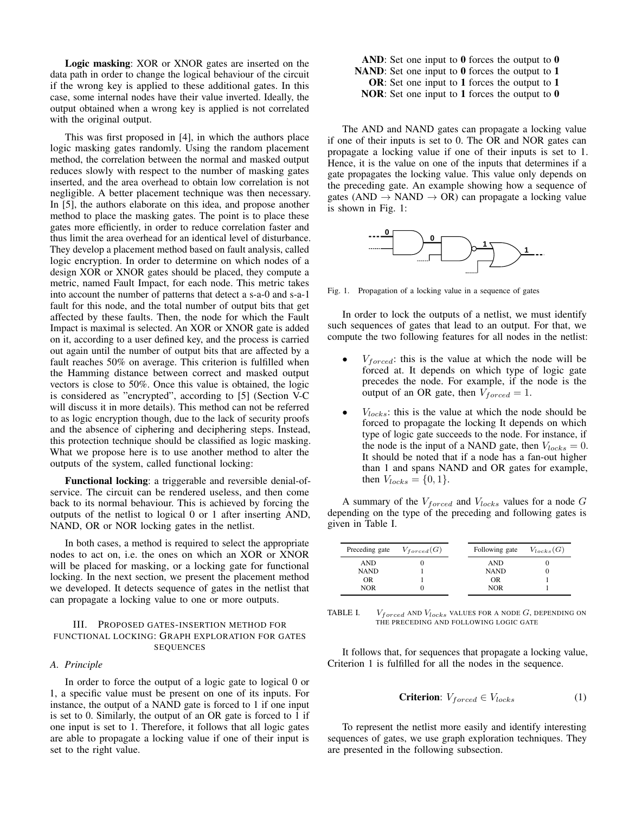Logic masking: XOR or XNOR gates are inserted on the data path in order to change the logical behaviour of the circuit if the wrong key is applied to these additional gates. In this case, some internal nodes have their value inverted. Ideally, the output obtained when a wrong key is applied is not correlated with the original output.

This was first proposed in [4], in which the authors place logic masking gates randomly. Using the random placement method, the correlation between the normal and masked output reduces slowly with respect to the number of masking gates inserted, and the area overhead to obtain low correlation is not negligible. A better placement technique was then necessary. In [5], the authors elaborate on this idea, and propose another method to place the masking gates. The point is to place these gates more efficiently, in order to reduce correlation faster and thus limit the area overhead for an identical level of disturbance. They develop a placement method based on fault analysis, called logic encryption. In order to determine on which nodes of a design XOR or XNOR gates should be placed, they compute a metric, named Fault Impact, for each node. This metric takes into account the number of patterns that detect a s-a-0 and s-a-1 fault for this node, and the total number of output bits that get affected by these faults. Then, the node for which the Fault Impact is maximal is selected. An XOR or XNOR gate is added on it, according to a user defined key, and the process is carried out again until the number of output bits that are affected by a fault reaches 50% on average. This criterion is fulfilled when the Hamming distance between correct and masked output vectors is close to 50%. Once this value is obtained, the logic is considered as "encrypted", according to [5] (Section V-C will discuss it in more details). This method can not be referred to as logic encryption though, due to the lack of security proofs and the absence of ciphering and deciphering steps. Instead, this protection technique should be classified as logic masking. What we propose here is to use another method to alter the outputs of the system, called functional locking:

Functional locking: a triggerable and reversible denial-ofservice. The circuit can be rendered useless, and then come back to its normal behaviour. This is achieved by forcing the outputs of the netlist to logical 0 or 1 after inserting AND, NAND, OR or NOR locking gates in the netlist.

In both cases, a method is required to select the appropriate nodes to act on, i.e. the ones on which an XOR or XNOR will be placed for masking, or a locking gate for functional locking. In the next section, we present the placement method we developed. It detects sequence of gates in the netlist that can propagate a locking value to one or more outputs.

## III. PROPOSED GATES-INSERTION METHOD FOR FUNCTIONAL LOCKING: GRAPH EXPLORATION FOR GATES SEQUENCES

# *A. Principle*

In order to force the output of a logic gate to logical 0 or 1, a specific value must be present on one of its inputs. For instance, the output of a NAND gate is forced to 1 if one input is set to 0. Similarly, the output of an OR gate is forced to 1 if one input is set to 1. Therefore, it follows that all logic gates are able to propagate a locking value if one of their input is set to the right value.

AND: Set one input to 0 forces the output to 0 NAND: Set one input to 0 forces the output to 1 OR: Set one input to 1 forces the output to 1 NOR: Set one input to 1 forces the output to 0

The AND and NAND gates can propagate a locking value if one of their inputs is set to 0. The OR and NOR gates can propagate a locking value if one of their inputs is set to 1. Hence, it is the value on one of the inputs that determines if a gate propagates the locking value. This value only depends on the preceding gate. An example showing how a sequence of gates (AND  $\rightarrow$  NAND  $\rightarrow$  OR) can propagate a locking value is shown in Fig. 1:



Fig. 1. Propagation of a locking value in a sequence of gates

In order to lock the outputs of a netlist, we must identify such sequences of gates that lead to an output. For that, we compute the two following features for all nodes in the netlist:

- $V_{forced}$ : this is the value at which the node will be forced at. It depends on which type of logic gate precedes the node. For example, if the node is the output of an OR gate, then  $V_{forced} = 1$ .
- $V_{locks}$ : this is the value at which the node should be forced to propagate the locking It depends on which type of logic gate succeeds to the node. For instance, if the node is the input of a NAND gate, then  $V_{locks} = 0$ . It should be noted that if a node has a fan-out higher than 1 and spans NAND and OR gates for example, then  $V_{locks} = \{0, 1\}.$

A summary of the  $V_{forced}$  and  $V_{locks}$  values for a node  $G$ depending on the type of the preceding and following gates is given in Table I.

| Preceding gate | $V_{forced}(G)$ | Following gate | $V_{locks}(G)$ |
|----------------|-----------------|----------------|----------------|
| <b>AND</b>     |                 | AND            |                |
| <b>NAND</b>    |                 | <b>NAND</b>    |                |
| <b>OR</b>      |                 | OR             |                |
| <b>NOR</b>     |                 | <b>NOR</b>     |                |

TABLE I.  $\qquad V_{forced}$  and  $V_{locks}$  values for a node  $G,$  depending on THE PRECEDING AND FOLLOWING LOGIC GATE

It follows that, for sequences that propagate a locking value, Criterion 1 is fulfilled for all the nodes in the sequence.

$$
Criterion: V_{forced} \in V_{locks}
$$
 (1)

To represent the netlist more easily and identify interesting sequences of gates, we use graph exploration techniques. They are presented in the following subsection.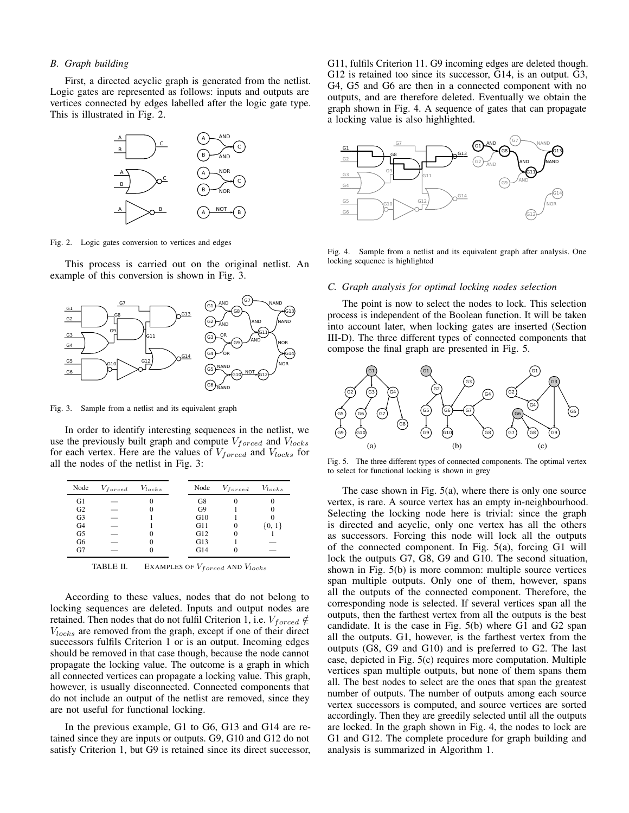## *B. Graph building*

First, a directed acyclic graph is generated from the netlist. Logic gates are represented as follows: inputs and outputs are vertices connected by edges labelled after the logic gate type. This is illustrated in Fig. 2.



Fig. 2. Logic gates conversion to vertices and edges

This process is carried out on the original netlist. An example of this conversion is shown in Fig. 3.



Fig. 3. Sample from a netlist and its equivalent graph

In order to identify interesting sequences in the netlist, we use the previously built graph and compute  $V_{forced}$  and  $V_{locks}$ for each vertex. Here are the values of  $V_{forced}$  and  $V_{locks}$  for all the nodes of the netlist in Fig. 3:

| Node           | $V_{forced}$ | $V_{locks}$ | Node           | $V_{forced}$ | $V_{locks}$ |
|----------------|--------------|-------------|----------------|--------------|-------------|
| G1             |              |             | G8             |              |             |
| G <sub>2</sub> |              |             | G <sub>9</sub> |              |             |
| G <sub>3</sub> |              |             | G10            |              |             |
| G <sub>4</sub> |              |             | G11            |              | ${0, 1}$    |
| G5             |              |             | G12            |              |             |
| G <sub>6</sub> |              |             | G13            |              |             |
| G7             |              |             | G14            |              |             |

TABLE II. EXAMPLES OF  $V_{forced}$  AND  $V_{locks}$ 

According to these values, nodes that do not belong to locking sequences are deleted. Inputs and output nodes are retained. Then nodes that do not fulfil Criterion 1, i.e.  $V_{forced} \notin$  $V_{locks}$  are removed from the graph, except if one of their direct successors fulfils Criterion 1 or is an output. Incoming edges should be removed in that case though, because the node cannot propagate the locking value. The outcome is a graph in which all connected vertices can propagate a locking value. This graph, however, is usually disconnected. Connected components that do not include an output of the netlist are removed, since they are not useful for functional locking.

In the previous example, G1 to G6, G13 and G14 are retained since they are inputs or outputs. G9, G10 and G12 do not satisfy Criterion 1, but G9 is retained since its direct successor, G11, fulfils Criterion 11. G9 incoming edges are deleted though. G12 is retained too since its successor, G14, is an output. G3, G4, G5 and G6 are then in a connected component with no outputs, and are therefore deleted. Eventually we obtain the graph shown in Fig. 4. A sequence of gates that can propagate a locking value is also highlighted.



Fig. 4. Sample from a netlist and its equivalent graph after analysis. One locking sequence is highlighted

## *C. Graph analysis for optimal locking nodes selection*

The point is now to select the nodes to lock. This selection process is independent of the Boolean function. It will be taken into account later, when locking gates are inserted (Section III-D). The three different types of connected components that compose the final graph are presented in Fig. 5.



Fig. 5. The three different types of connected components. The optimal vertex to select for functional locking is shown in grey

The case shown in Fig. 5(a), where there is only one source vertex, is rare. A source vertex has an empty in-neighbourhood. Selecting the locking node here is trivial: since the graph is directed and acyclic, only one vertex has all the others as successors. Forcing this node will lock all the outputs of the connected component. In Fig. 5(a), forcing G1 will lock the outputs G7, G8, G9 and G10. The second situation, shown in Fig. 5(b) is more common: multiple source vertices span multiple outputs. Only one of them, however, spans all the outputs of the connected component. Therefore, the corresponding node is selected. If several vertices span all the outputs, then the farthest vertex from all the outputs is the best candidate. It is the case in Fig. 5(b) where G1 and G2 span all the outputs. G1, however, is the farthest vertex from the outputs (G8, G9 and G10) and is preferred to G2. The last case, depicted in Fig. 5(c) requires more computation. Multiple vertices span multiple outputs, but none of them spans them all. The best nodes to select are the ones that span the greatest number of outputs. The number of outputs among each source vertex successors is computed, and source vertices are sorted accordingly. Then they are greedily selected until all the outputs are locked. In the graph shown in Fig. 4, the nodes to lock are G1 and G12. The complete procedure for graph building and analysis is summarized in Algorithm 1.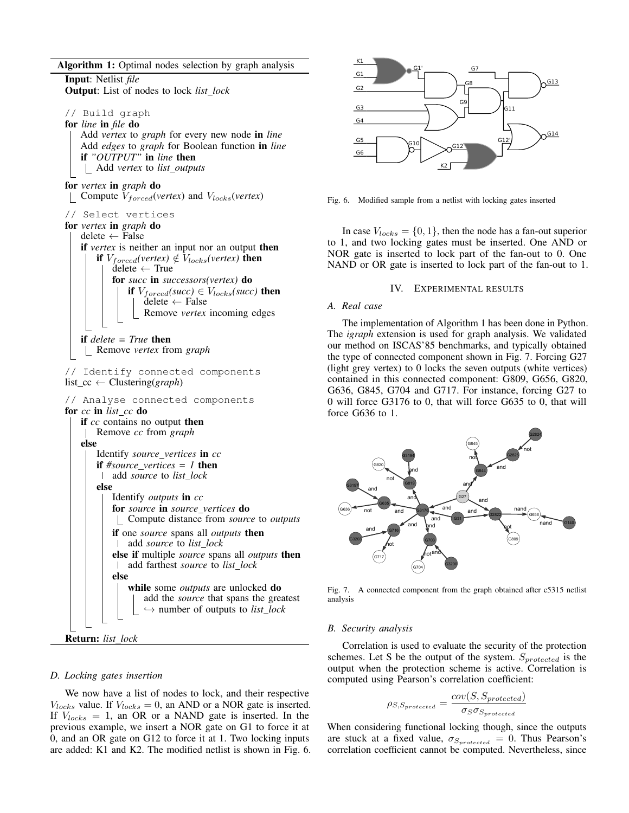

## *D. Locking gates insertion*

We now have a list of nodes to lock, and their respective  $V_{locks}$  value. If  $V_{locks} = 0$ , an AND or a NOR gate is inserted. If  $V_{locks} = 1$ , an OR or a NAND gate is inserted. In the previous example, we insert a NOR gate on G1 to force it at 0, and an OR gate on G12 to force it at 1. Two locking inputs are added: K1 and K2. The modified netlist is shown in Fig. 6.



Fig. 6. Modified sample from a netlist with locking gates inserted

In case  $V_{locks} = \{0, 1\}$ , then the node has a fan-out superior to 1, and two locking gates must be inserted. One AND or NOR gate is inserted to lock part of the fan-out to 0. One NAND or OR gate is inserted to lock part of the fan-out to 1.

## IV. EXPERIMENTAL RESULTS

# *A. Real case*

The implementation of Algorithm 1 has been done in Python. The *igraph* extension is used for graph analysis. We validated our method on ISCAS'85 benchmarks, and typically obtained the type of connected component shown in Fig. 7. Forcing G27 (light grey vertex) to 0 locks the seven outputs (white vertices) contained in this connected component: G809, G656, G820, G636, G845, G704 and G717. For instance, forcing G27 to 0 will force G3176 to 0, that will force G635 to 0, that will force G636 to 1.



Fig. 7. A connected component from the graph obtained after c5315 netlist analysis

#### *B. Security analysis*

Correlation is used to evaluate the security of the protection schemes. Let S be the output of the system.  $S_{protected}$  is the output when the protection scheme is active. Correlation is computed using Pearson's correlation coefficient:

$$
\rho_{S,S_{protected}} = \frac{cov(S, S_{protected})}{\sigma_S \sigma_{S_{protected}}}
$$

When considering functional locking though, since the outputs are stuck at a fixed value,  $\sigma_{S_{protected}} = 0$ . Thus Pearson's correlation coefficient cannot be computed. Nevertheless, since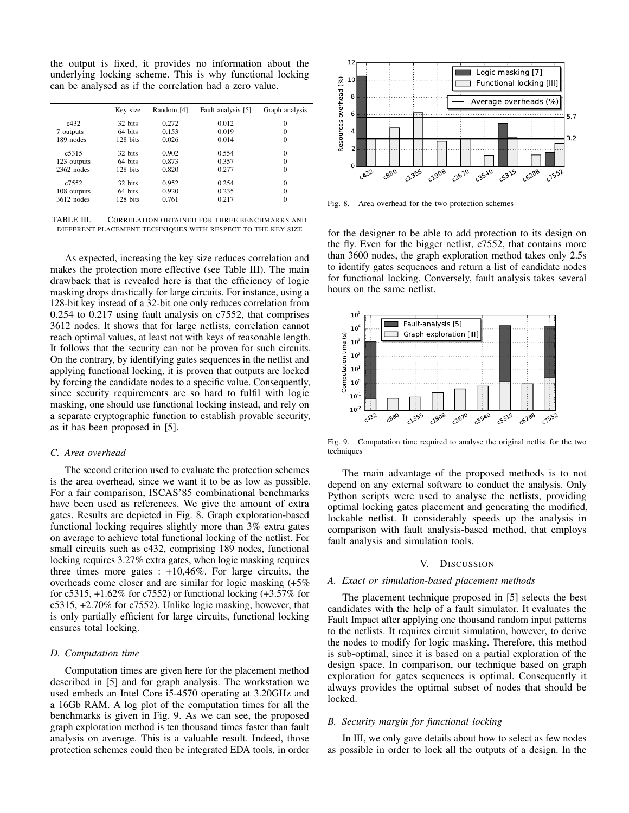the output is fixed, it provides no information about the underlying locking scheme. This is why functional locking can be analysed as if the correlation had a zero value.

|                   | Key size | Random [4] | Fault analysis [5] | Graph analysis |
|-------------------|----------|------------|--------------------|----------------|
| c432              | 32 bits  | 0.272      | 0.012              | 0              |
| 7 outputs         | 64 bits  | 0.153      | 0.019              | $\Omega$       |
| 189 nodes         | 128 bits | 0.026      | 0.014              | $\Omega$       |
| c5315             | 32 bits  | 0.902      | 0.554              | 0              |
| 123 outputs       | 64 bits  | 0.873      | 0.357              | $\Omega$       |
| $2362$ nodes      | 128 bits | 0.820      | 0.277              | $\Omega$       |
| c <sub>7552</sub> | 32 bits  | 0.952      | 0.254              | 0              |
| 108 outputs       | 64 bits  | 0.920      | 0.235              | $\Omega$       |
| $3612$ nodes      | 128 bits | 0.761      | 0.217              | 0              |

TABLE III. CORRELATION OBTAINED FOR THREE BENCHMARKS AND DIFFERENT PLACEMENT TECHNIQUES WITH RESPECT TO THE KEY SIZE

As expected, increasing the key size reduces correlation and makes the protection more effective (see Table III). The main drawback that is revealed here is that the efficiency of logic masking drops drastically for large circuits. For instance, using a 128-bit key instead of a 32-bit one only reduces correlation from 0.254 to 0.217 using fault analysis on c7552, that comprises 3612 nodes. It shows that for large netlists, correlation cannot reach optimal values, at least not with keys of reasonable length. It follows that the security can not be proven for such circuits. On the contrary, by identifying gates sequences in the netlist and applying functional locking, it is proven that outputs are locked by forcing the candidate nodes to a specific value. Consequently, since security requirements are so hard to fulfil with logic masking, one should use functional locking instead, and rely on a separate cryptographic function to establish provable security, as it has been proposed in [5].

# *C. Area overhead*

The second criterion used to evaluate the protection schemes is the area overhead, since we want it to be as low as possible. For a fair comparison, ISCAS'85 combinational benchmarks have been used as references. We give the amount of extra gates. Results are depicted in Fig. 8. Graph exploration-based functional locking requires slightly more than 3% extra gates on average to achieve total functional locking of the netlist. For small circuits such as c432, comprising 189 nodes, functional locking requires 3.27% extra gates, when logic masking requires three times more gates  $: +10,46\%$ . For large circuits, the overheads come closer and are similar for logic masking (+5% for c5315, +1.62% for c7552) or functional locking (+3.57% for c5315, +2.70% for c7552). Unlike logic masking, however, that is only partially efficient for large circuits, functional locking ensures total locking.

## *D. Computation time*

Computation times are given here for the placement method described in [5] and for graph analysis. The workstation we used embeds an Intel Core i5-4570 operating at 3.20GHz and a 16Gb RAM. A log plot of the computation times for all the benchmarks is given in Fig. 9. As we can see, the proposed graph exploration method is ten thousand times faster than fault analysis on average. This is a valuable result. Indeed, those protection schemes could then be integrated EDA tools, in order



Fig. 8. Area overhead for the two protection schemes

for the designer to be able to add protection to its design on the fly. Even for the bigger netlist, c7552, that contains more than 3600 nodes, the graph exploration method takes only 2.5s to identify gates sequences and return a list of candidate nodes for functional locking. Conversely, fault analysis takes several hours on the same netlist.



Fig. 9. Computation time required to analyse the original netlist for the two techniques

The main advantage of the proposed methods is to not depend on any external software to conduct the analysis. Only Python scripts were used to analyse the netlists, providing optimal locking gates placement and generating the modified, lockable netlist. It considerably speeds up the analysis in comparison with fault analysis-based method, that employs fault analysis and simulation tools.

## V. DISCUSSION

## *A. Exact or simulation-based placement methods*

The placement technique proposed in [5] selects the best candidates with the help of a fault simulator. It evaluates the Fault Impact after applying one thousand random input patterns to the netlists. It requires circuit simulation, however, to derive the nodes to modify for logic masking. Therefore, this method is sub-optimal, since it is based on a partial exploration of the design space. In comparison, our technique based on graph exploration for gates sequences is optimal. Consequently it always provides the optimal subset of nodes that should be locked.

# *B. Security margin for functional locking*

In III, we only gave details about how to select as few nodes as possible in order to lock all the outputs of a design. In the